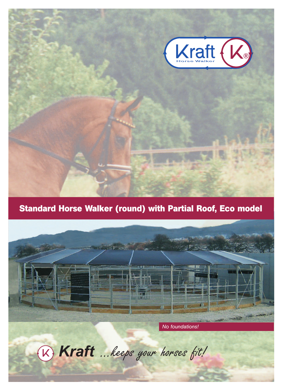

# **Standard Horse Walker (round) with Partial Roof, Eco model**



*No foundations!*

® **Kraft** ...keeps your horses fit!